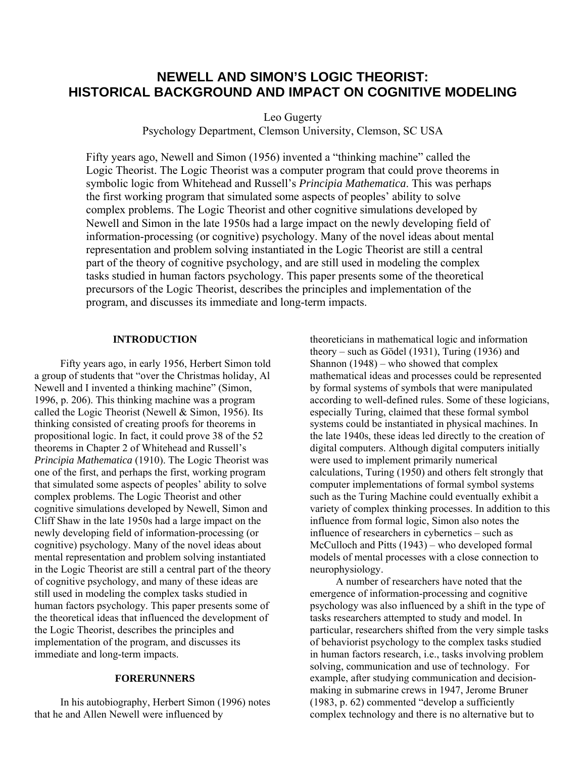# **NEWELL AND SIMON'S LOGIC THEORIST: HISTORICAL BACKGROUND AND IMPACT ON COGNITIVE MODELING**

Leo Gugerty

Psychology Department, Clemson University, Clemson, SC USA

Fifty years ago, Newell and Simon (1956) invented a "thinking machine" called the Logic Theorist. The Logic Theorist was a computer program that could prove theorems in symbolic logic from Whitehead and Russell's *Principia Mathematica*. This was perhaps the first working program that simulated some aspects of peoples' ability to solve complex problems. The Logic Theorist and other cognitive simulations developed by Newell and Simon in the late 1950s had a large impact on the newly developing field of information-processing (or cognitive) psychology. Many of the novel ideas about mental representation and problem solving instantiated in the Logic Theorist are still a central part of the theory of cognitive psychology, and are still used in modeling the complex tasks studied in human factors psychology. This paper presents some of the theoretical precursors of the Logic Theorist, describes the principles and implementation of the program, and discusses its immediate and long-term impacts.

# **INTRODUCTION**

Fifty years ago, in early 1956, Herbert Simon told a group of students that "over the Christmas holiday, Al Newell and I invented a thinking machine" (Simon, 1996, p. 206). This thinking machine was a program called the Logic Theorist (Newell & Simon, 1956). Its thinking consisted of creating proofs for theorems in propositional logic. In fact, it could prove 38 of the 52 theorems in Chapter 2 of Whitehead and Russell's *Principia Mathematica* (1910). The Logic Theorist was one of the first, and perhaps the first, working program that simulated some aspects of peoples' ability to solve complex problems. The Logic Theorist and other cognitive simulations developed by Newell, Simon and Cliff Shaw in the late 1950s had a large impact on the newly developing field of information-processing (or cognitive) psychology. Many of the novel ideas about mental representation and problem solving instantiated in the Logic Theorist are still a central part of the theory of cognitive psychology, and many of these ideas are still used in modeling the complex tasks studied in human factors psychology. This paper presents some of the theoretical ideas that influenced the development of the Logic Theorist, describes the principles and implementation of the program, and discusses its immediate and long-term impacts.

# **FORERUNNERS**

In his autobiography, Herbert Simon (1996) notes that he and Allen Newell were influenced by

theoreticians in mathematical logic and information theory – such as Gödel (1931), Turing (1936) and Shannon (1948) – who showed that complex mathematical ideas and processes could be represented by formal systems of symbols that were manipulated according to well-defined rules. Some of these logicians, especially Turing, claimed that these formal symbol systems could be instantiated in physical machines. In the late 1940s, these ideas led directly to the creation of digital computers. Although digital computers initially were used to implement primarily numerical calculations, Turing (1950) and others felt strongly that computer implementations of formal symbol systems such as the Turing Machine could eventually exhibit a variety of complex thinking processes. In addition to this influence from formal logic, Simon also notes the influence of researchers in cybernetics – such as McCulloch and Pitts (1943) – who developed formal models of mental processes with a close connection to neurophysiology.

A number of researchers have noted that the emergence of information-processing and cognitive psychology was also influenced by a shift in the type of tasks researchers attempted to study and model. In particular, researchers shifted from the very simple tasks of behaviorist psychology to the complex tasks studied in human factors research, i.e., tasks involving problem solving, communication and use of technology. For example, after studying communication and decisionmaking in submarine crews in 1947, Jerome Bruner (1983, p. 62) commented "develop a sufficiently complex technology and there is no alternative but to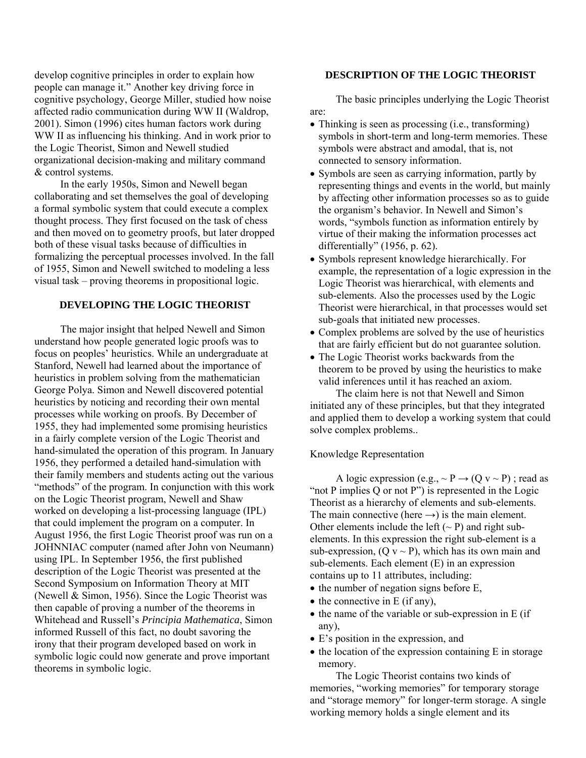develop cognitive principles in order to explain how people can manage it." Another key driving force in cognitive psychology, George Miller, studied how noise affected radio communication during WW II (Waldrop, 2001). Simon (1996) cites human factors work during WW II as influencing his thinking. And in work prior to the Logic Theorist, Simon and Newell studied organizational decision-making and military command & control systems.

In the early 1950s, Simon and Newell began collaborating and set themselves the goal of developing a formal symbolic system that could execute a complex thought process. They first focused on the task of chess and then moved on to geometry proofs, but later dropped both of these visual tasks because of difficulties in formalizing the perceptual processes involved. In the fall of 1955, Simon and Newell switched to modeling a less visual task – proving theorems in propositional logic.

# **DEVELOPING THE LOGIC THEORIST**

The major insight that helped Newell and Simon understand how people generated logic proofs was to focus on peoples' heuristics. While an undergraduate at Stanford, Newell had learned about the importance of heuristics in problem solving from the mathematician George Polya. Simon and Newell discovered potential heuristics by noticing and recording their own mental processes while working on proofs. By December of 1955, they had implemented some promising heuristics in a fairly complete version of the Logic Theorist and hand-simulated the operation of this program. In January 1956, they performed a detailed hand-simulation with their family members and students acting out the various "methods" of the program. In conjunction with this work on the Logic Theorist program, Newell and Shaw worked on developing a list-processing language (IPL) that could implement the program on a computer. In August 1956, the first Logic Theorist proof was run on a JOHNNIAC computer (named after John von Neumann) using IPL. In September 1956, the first published description of the Logic Theorist was presented at the Second Symposium on Information Theory at MIT (Newell & Simon, 1956). Since the Logic Theorist was then capable of proving a number of the theorems in Whitehead and Russell's *Principia Mathematica*, Simon informed Russell of this fact, no doubt savoring the irony that their program developed based on work in symbolic logic could now generate and prove important theorems in symbolic logic.

#### **DESCRIPTION OF THE LOGIC THEORIST**

The basic principles underlying the Logic Theorist are:

- Thinking is seen as processing (i.e., transforming) symbols in short-term and long-term memories. These symbols were abstract and amodal, that is, not connected to sensory information.
- Symbols are seen as carrying information, partly by representing things and events in the world, but mainly by affecting other information processes so as to guide the organism's behavior. In Newell and Simon's words, "symbols function as information entirely by virtue of their making the information processes act differentially" (1956, p. 62).
- Symbols represent knowledge hierarchically. For example, the representation of a logic expression in the Logic Theorist was hierarchical, with elements and sub-elements. Also the processes used by the Logic Theorist were hierarchical, in that processes would set sub-goals that initiated new processes.
- Complex problems are solved by the use of heuristics that are fairly efficient but do not guarantee solution.
- The Logic Theorist works backwards from the theorem to be proved by using the heuristics to make valid inferences until it has reached an axiom.

The claim here is not that Newell and Simon initiated any of these principles, but that they integrated and applied them to develop a working system that could solve complex problems..

#### Knowledge Representation

A logic expression (e.g.,  $\sim$  P  $\rightarrow$  (Q v  $\sim$  P); read as "not P implies Q or not P") is represented in the Logic Theorist as a hierarchy of elements and sub-elements. The main connective (here  $\rightarrow$ ) is the main element. Other elements include the left  $({\sim} P)$  and right subelements. In this expression the right sub-element is a sub-expression,  $(Q v \sim P)$ , which has its own main and sub-elements. Each element (E) in an expression contains up to 11 attributes, including:

- the number of negation signs before E,
- $\bullet$  the connective in E (if any),
- the name of the variable or sub-expression in E (if any),
- E's position in the expression, and
- the location of the expression containing E in storage memory.

The Logic Theorist contains two kinds of memories, "working memories" for temporary storage and "storage memory" for longer-term storage. A single working memory holds a single element and its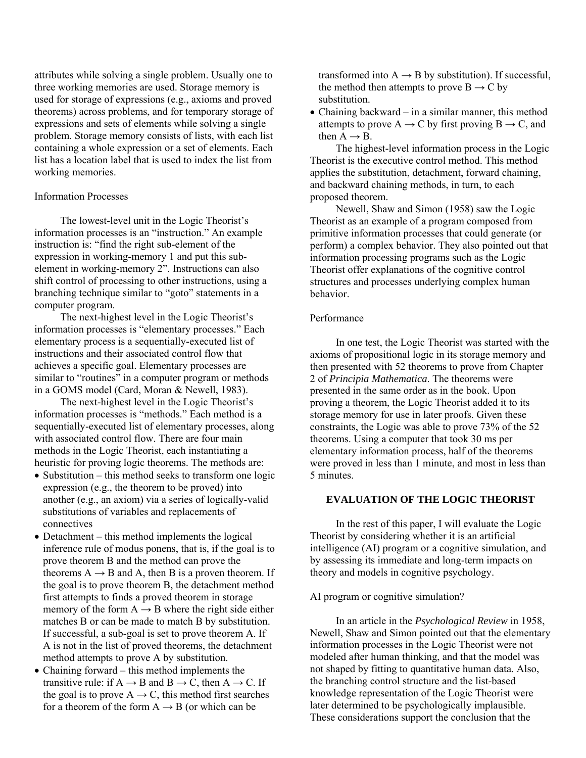attributes while solving a single problem. Usually one to three working memories are used. Storage memory is used for storage of expressions (e.g., axioms and proved theorems) across problems, and for temporary storage of expressions and sets of elements while solving a single problem. Storage memory consists of lists, with each list containing a whole expression or a set of elements. Each list has a location label that is used to index the list from working memories.

#### Information Processes

The lowest-level unit in the Logic Theorist's information processes is an "instruction." An example instruction is: "find the right sub-element of the expression in working-memory 1 and put this subelement in working-memory 2". Instructions can also shift control of processing to other instructions, using a branching technique similar to "goto" statements in a computer program.

The next-highest level in the Logic Theorist's information processes is "elementary processes." Each elementary process is a sequentially-executed list of instructions and their associated control flow that achieves a specific goal. Elementary processes are similar to "routines" in a computer program or methods in a GOMS model (Card, Moran & Newell, 1983).

The next-highest level in the Logic Theorist's information processes is "methods." Each method is a sequentially-executed list of elementary processes, along with associated control flow. There are four main methods in the Logic Theorist, each instantiating a heuristic for proving logic theorems. The methods are:

- Substitution this method seeks to transform one logic expression (e.g., the theorem to be proved) into another (e.g., an axiom) via a series of logically-valid substitutions of variables and replacements of connectives
- Detachment this method implements the logical inference rule of modus ponens, that is, if the goal is to prove theorem B and the method can prove the theorems  $A \rightarrow B$  and A, then B is a proven theorem. If the goal is to prove theorem B, the detachment method first attempts to finds a proved theorem in storage memory of the form  $A \rightarrow B$  where the right side either matches B or can be made to match B by substitution. If successful, a sub-goal is set to prove theorem A. If A is not in the list of proved theorems, the detachment method attempts to prove A by substitution.
- Chaining forward this method implements the transitive rule: if  $A \rightarrow B$  and  $B \rightarrow C$ , then  $A \rightarrow C$ . If the goal is to prove  $A \rightarrow C$ , this method first searches for a theorem of the form  $A \rightarrow B$  (or which can be

transformed into  $A \rightarrow B$  by substitution). If successful, the method then attempts to prove  $B \rightarrow C$  by substitution.

• Chaining backward – in a similar manner, this method attempts to prove  $A \rightarrow C$  by first proving  $B \rightarrow C$ , and then  $A \rightarrow B$ .

The highest-level information process in the Logic Theorist is the executive control method. This method applies the substitution, detachment, forward chaining, and backward chaining methods, in turn, to each proposed theorem.

Newell, Shaw and Simon (1958) saw the Logic Theorist as an example of a program composed from primitive information processes that could generate (or perform) a complex behavior. They also pointed out that information processing programs such as the Logic Theorist offer explanations of the cognitive control structures and processes underlying complex human behavior.

#### Performance

In one test, the Logic Theorist was started with the axioms of propositional logic in its storage memory and then presented with 52 theorems to prove from Chapter 2 of *Principia Mathematica*. The theorems were presented in the same order as in the book. Upon proving a theorem, the Logic Theorist added it to its storage memory for use in later proofs. Given these constraints, the Logic was able to prove 73% of the 52 theorems. Using a computer that took 30 ms per elementary information process, half of the theorems were proved in less than 1 minute, and most in less than 5 minutes.

### **EVALUATION OF THE LOGIC THEORIST**

In the rest of this paper, I will evaluate the Logic Theorist by considering whether it is an artificial intelligence (AI) program or a cognitive simulation, and by assessing its immediate and long-term impacts on theory and models in cognitive psychology.

#### AI program or cognitive simulation?

In an article in the *Psychological Review* in 1958, Newell, Shaw and Simon pointed out that the elementary information processes in the Logic Theorist were not modeled after human thinking, and that the model was not shaped by fitting to quantitative human data. Also, the branching control structure and the list-based knowledge representation of the Logic Theorist were later determined to be psychologically implausible. These considerations support the conclusion that the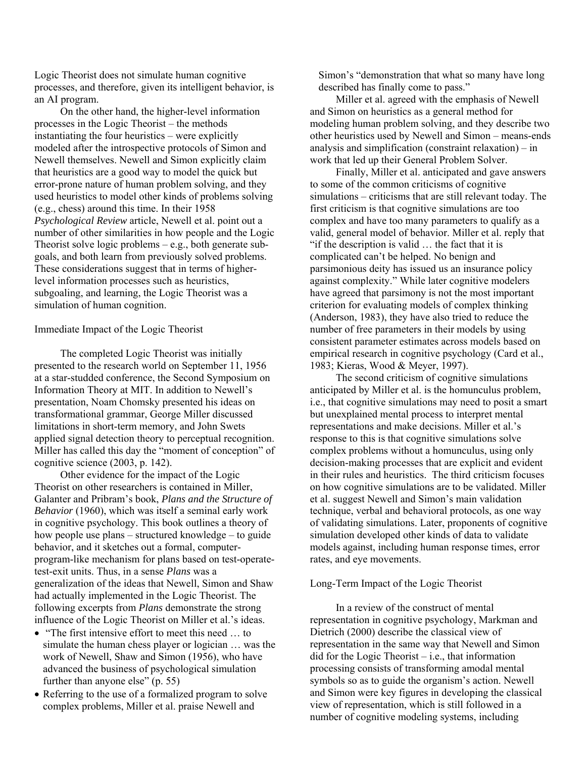Logic Theorist does not simulate human cognitive processes, and therefore, given its intelligent behavior, is an AI program.

On the other hand, the higher-level information processes in the Logic Theorist – the methods instantiating the four heuristics – were explicitly modeled after the introspective protocols of Simon and Newell themselves. Newell and Simon explicitly claim that heuristics are a good way to model the quick but error-prone nature of human problem solving, and they used heuristics to model other kinds of problems solving (e.g., chess) around this time. In their 1958 *Psychological Review* article, Newell et al. point out a number of other similarities in how people and the Logic Theorist solve logic problems  $-$  e.g., both generate subgoals, and both learn from previously solved problems. These considerations suggest that in terms of higherlevel information processes such as heuristics, subgoaling, and learning, the Logic Theorist was a simulation of human cognition.

#### Immediate Impact of the Logic Theorist

The completed Logic Theorist was initially presented to the research world on September 11, 1956 at a star-studded conference, the Second Symposium on Information Theory at MIT. In addition to Newell's presentation, Noam Chomsky presented his ideas on transformational grammar, George Miller discussed limitations in short-term memory, and John Swets applied signal detection theory to perceptual recognition. Miller has called this day the "moment of conception" of cognitive science (2003, p. 142).

Other evidence for the impact of the Logic Theorist on other researchers is contained in Miller, Galanter and Pribram's book, *Plans and the Structure of Behavior* (1960), which was itself a seminal early work in cognitive psychology. This book outlines a theory of how people use plans – structured knowledge – to guide behavior, and it sketches out a formal, computerprogram-like mechanism for plans based on test-operatetest-exit units. Thus, in a sense *Plans* was a generalization of the ideas that Newell, Simon and Shaw had actually implemented in the Logic Theorist. The following excerpts from *Plans* demonstrate the strong influence of the Logic Theorist on Miller et al.'s ideas.

- "The first intensive effort to meet this need ... to simulate the human chess player or logician … was the work of Newell, Shaw and Simon (1956), who have advanced the business of psychological simulation further than anyone else" (p. 55)
- Referring to the use of a formalized program to solve complex problems, Miller et al. praise Newell and

Simon's "demonstration that what so many have long described has finally come to pass."

Miller et al. agreed with the emphasis of Newell and Simon on heuristics as a general method for modeling human problem solving, and they describe two other heuristics used by Newell and Simon – means-ends analysis and simplification (constraint relaxation) – in work that led up their General Problem Solver.

Finally, Miller et al. anticipated and gave answers to some of the common criticisms of cognitive simulations – criticisms that are still relevant today. The first criticism is that cognitive simulations are too complex and have too many parameters to qualify as a valid, general model of behavior. Miller et al. reply that "if the description is valid … the fact that it is complicated can't be helped. No benign and parsimonious deity has issued us an insurance policy against complexity." While later cognitive modelers have agreed that parsimony is not the most important criterion for evaluating models of complex thinking (Anderson, 1983), they have also tried to reduce the number of free parameters in their models by using consistent parameter estimates across models based on empirical research in cognitive psychology (Card et al., 1983; Kieras, Wood & Meyer, 1997).

The second criticism of cognitive simulations anticipated by Miller et al. is the homunculus problem, i.e., that cognitive simulations may need to posit a smart but unexplained mental process to interpret mental representations and make decisions. Miller et al.'s response to this is that cognitive simulations solve complex problems without a homunculus, using only decision-making processes that are explicit and evident in their rules and heuristics. The third criticism focuses on how cognitive simulations are to be validated. Miller et al. suggest Newell and Simon's main validation technique, verbal and behavioral protocols, as one way of validating simulations. Later, proponents of cognitive simulation developed other kinds of data to validate models against, including human response times, error rates, and eye movements.

#### Long-Term Impact of the Logic Theorist

In a review of the construct of mental representation in cognitive psychology, Markman and Dietrich (2000) describe the classical view of representation in the same way that Newell and Simon did for the Logic Theorist – i.e., that information processing consists of transforming amodal mental symbols so as to guide the organism's action. Newell and Simon were key figures in developing the classical view of representation, which is still followed in a number of cognitive modeling systems, including